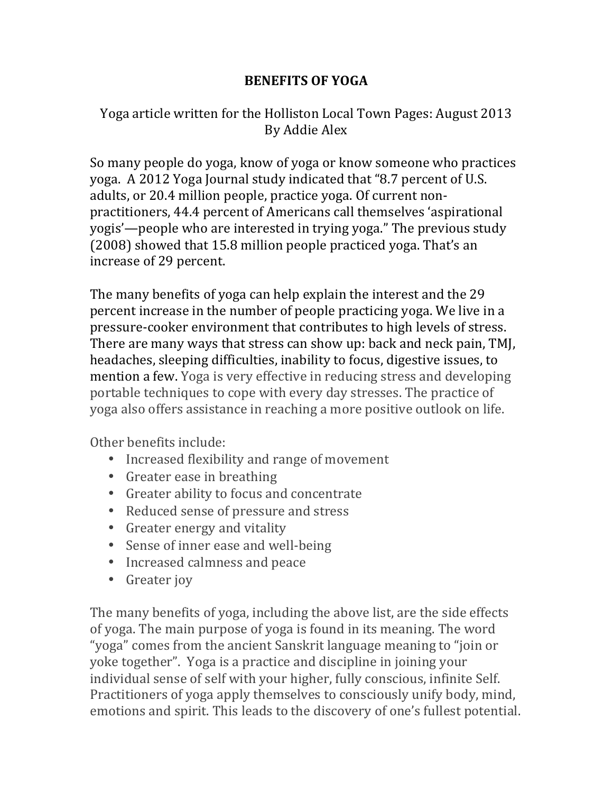## **BENEFITS OF YOGA**

## Yoga article written for the Holliston Local Town Pages: August 2013 By Addie Alex

So many people do yoga, know of yoga or know someone who practices yoga. A 2012 Yoga Journal study indicated that "8.7 percent of U.S. adults, or 20.4 million people, practice yoga. Of current nonpractitioners, 44.4 percent of Americans call themselves 'aspirational yogis'—people who are interested in trying yoga." The previous study  $(2008)$  showed that 15.8 million people practiced yoga. That's an increase of 29 percent.

The many benefits of yoga can help explain the interest and the 29 percent increase in the number of people practicing yoga. We live in a pressure-cooker environment that contributes to high levels of stress. There are many ways that stress can show up: back and neck pain, TMJ, headaches, sleeping difficulties, inability to focus, digestive issues, to mention a few. Yoga is very effective in reducing stress and developing portable techniques to cope with every day stresses. The practice of yoga also offers assistance in reaching a more positive outlook on life.

Other benefits include:

- Increased flexibility and range of movement
- Greater ease in breathing
- Greater ability to focus and concentrate
- Reduced sense of pressure and stress
- Greater energy and vitality
- Sense of inner ease and well-being
- Increased calmness and peace
- Greater joy

The many benefits of yoga, including the above list, are the side effects of yoga. The main purpose of yoga is found in its meaning. The word "yoga" comes from the ancient Sanskrit language meaning to "join or yoke together". Yoga is a practice and discipline in joining your individual sense of self with your higher, fully conscious, infinite Self. Practitioners of yoga apply themselves to consciously unify body, mind, emotions and spirit. This leads to the discovery of one's fullest potential.